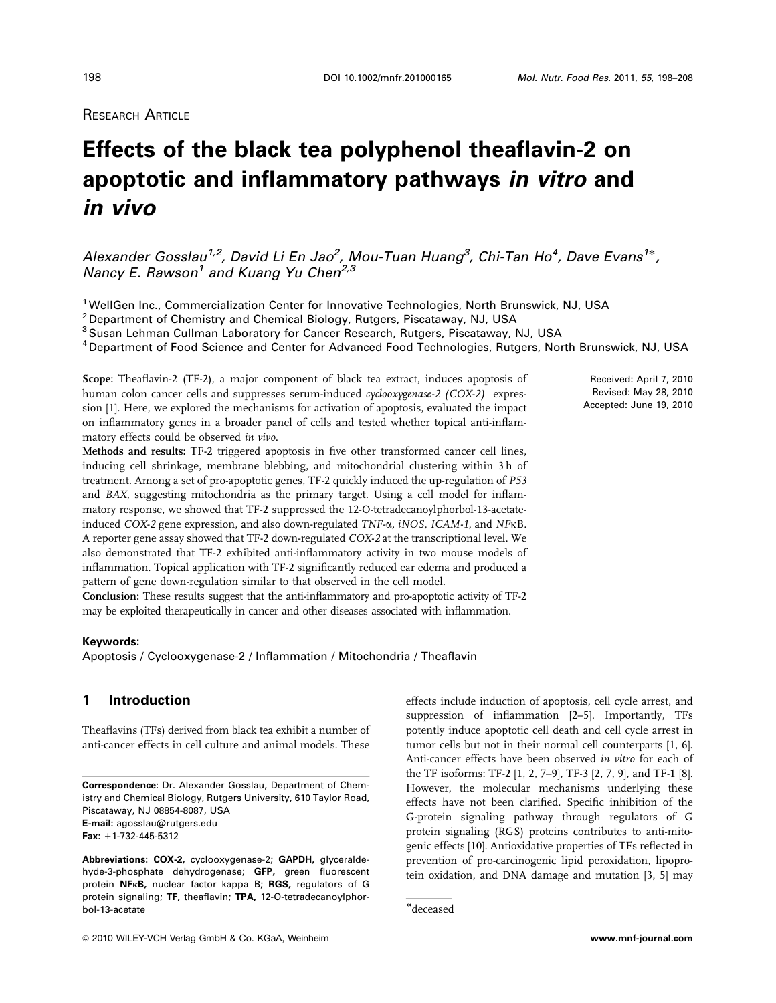# RESEARCH ARTICLE

# **Effects of the black tea polyphenol theaflavin-2 on apoptotic and inflammatory pathways in vitro and in vivo**

Alexander Gosslau $^{1,2}$ , David Li En Jao $^2$ , Mou-Tuan Huang $^3$ , Chi-Tan Ho $^4$ , Dave Evans $^{1*}$ , Nancy E. Rawson<sup>1</sup> and Kuang Yu Chen<sup>2,3</sup>

<sup>1</sup>WellGen Inc., Commercialization Center for Innovative Technologies, North Brunswick, NJ, USA

<sup>2</sup> Department of Chemistry and Chemical Biology, Rutgers, Piscataway, NJ, USA

<sup>3</sup> Susan Lehman Cullman Laboratory for Cancer Research, Rutgers, Piscataway, NJ, USA

<sup>4</sup> Department of Food Science and Center for Advanced Food Technologies, Rutgers, North Brunswick, NJ, USA

Scope: Theaflavin-2 (TF-2), a major component of black tea extract, induces apoptosis of human colon cancer cells and suppresses serum-induced cyclooxygenase-2 (COX-2) expression [1]. Here, we explored the mechanisms for activation of apoptosis, evaluated the impact on inflammatory genes in a broader panel of cells and tested whether topical anti-inflammatory effects could be observed in vivo.

Methods and results: TF-2 triggered apoptosis in five other transformed cancer cell lines, inducing cell shrinkage, membrane blebbing, and mitochondrial clustering within 3 h of treatment. Among a set of pro-apoptotic genes, TF-2 quickly induced the up-regulation of P53 and BAX, suggesting mitochondria as the primary target. Using a cell model for inflammatory response, we showed that TF-2 suppressed the 12-O-tetradecanoylphorbol-13-acetateinduced COX-2 gene expression, and also down-regulated TNF-a, iNOS, ICAM-1, and NFkB. A reporter gene assay showed that TF-2 down-regulated COX-2 at the transcriptional level. We also demonstrated that TF-2 exhibited anti-inflammatory activity in two mouse models of inflammation. Topical application with TF-2 significantly reduced ear edema and produced a pattern of gene down-regulation similar to that observed in the cell model.

Conclusion: These results suggest that the anti-inflammatory and pro-apoptotic activity of TF-2 may be exploited therapeutically in cancer and other diseases associated with inflammation.

#### **Keywords:**

Apoptosis / Cyclooxygenase-2 / Inflammation / Mitochondria / Theaflavin

# **1 Introduction**

Theaflavins (TFs) derived from black tea exhibit a number of anti-cancer effects in cell culture and animal models. These

**Correspondence:** Dr. Alexander Gosslau, Department of Chemistry and Chemical Biology, Rutgers University, 610 Taylor Road, Piscataway, NJ 08854-8087, USA **E-mail:** agosslau@rutgers.edu Fax: +1-732-445-5312

**Abbreviations: COX-2,** cyclooxygenase-2; **GAPDH,** glyceraldehyde-3-phosphate dehydrogenase; **GFP,** green fluorescent protein **NF**j**B,** nuclear factor kappa B; **RGS,** regulators of G protein signaling; **TF,** theaflavin; **TPA,** 12-O-tetradecanoylphor-bol-13-acetate !deceased

effects include induction of apoptosis, cell cycle arrest, and suppression of inflammation [2–5]. Importantly, TFs potently induce apoptotic cell death and cell cycle arrest in tumor cells but not in their normal cell counterparts [1, 6]. Anti-cancer effects have been observed in vitro for each of the TF isoforms: TF-2 [1, 2, 7–9], TF-3 [2, 7, 9], and TF-1 [8]. However, the molecular mechanisms underlying these effects have not been clarified. Specific inhibition of the G-protein signaling pathway through regulators of G protein signaling (RGS) proteins contributes to anti-mitogenic effects [10]. Antioxidative properties of TFs reflected in prevention of pro-carcinogenic lipid peroxidation, lipoprotein oxidation, and DNA damage and mutation [3, 5] may

Received: April 7, 2010 Revised: May 28, 2010 Accepted: June 19, 2010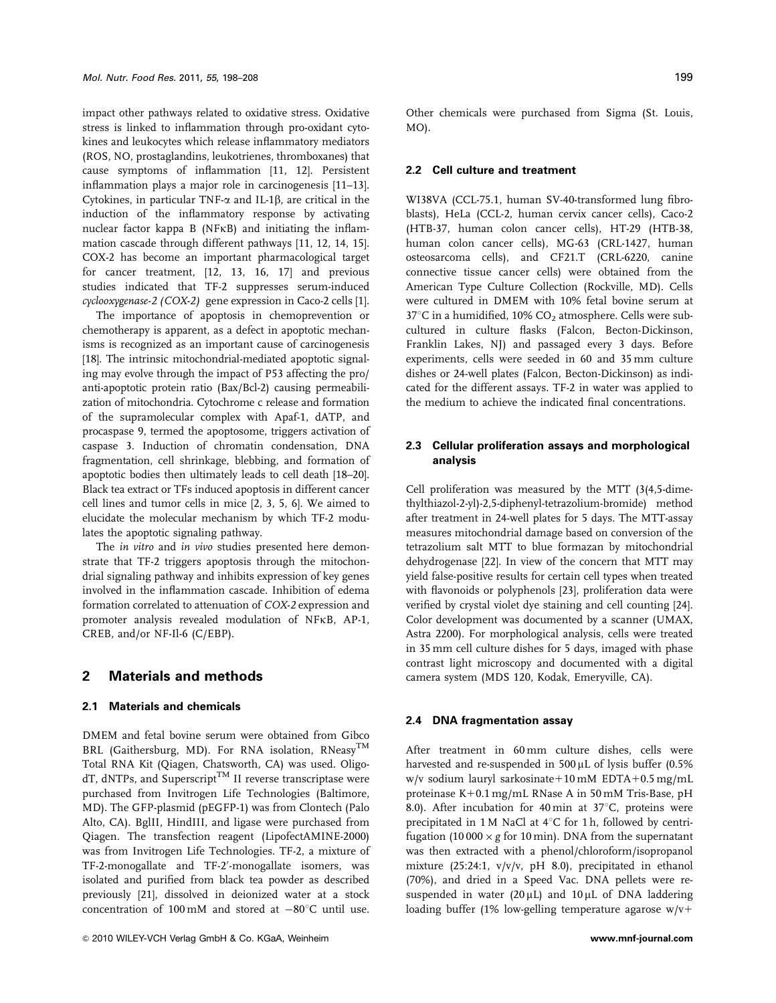impact other pathways related to oxidative stress. Oxidative stress is linked to inflammation through pro-oxidant cytokines and leukocytes which release inflammatory mediators (ROS, NO, prostaglandins, leukotrienes, thromboxanes) that cause symptoms of inflammation [11, 12]. Persistent inflammation plays a major role in carcinogenesis [11–13]. Cytokines, in particular TNF- $\alpha$  and IL-1 $\beta$ , are critical in the induction of the inflammatory response by activating nuclear factor kappa B (NFkB) and initiating the inflammation cascade through different pathways [11, 12, 14, 15]. COX-2 has become an important pharmacological target for cancer treatment, [12, 13, 16, 17] and previous studies indicated that TF-2 suppresses serum-induced cyclooxygenase-2 (COX-2) gene expression in Caco-2 cells [1].

The importance of apoptosis in chemoprevention or chemotherapy is apparent, as a defect in apoptotic mechanisms is recognized as an important cause of carcinogenesis [18]. The intrinsic mitochondrial-mediated apoptotic signaling may evolve through the impact of P53 affecting the pro/ anti-apoptotic protein ratio (Bax/Bcl-2) causing permeabilization of mitochondria. Cytochrome c release and formation of the supramolecular complex with Apaf-1, dATP, and procaspase 9, termed the apoptosome, triggers activation of caspase 3. Induction of chromatin condensation, DNA fragmentation, cell shrinkage, blebbing, and formation of apoptotic bodies then ultimately leads to cell death [18–20]. Black tea extract or TFs induced apoptosis in different cancer cell lines and tumor cells in mice [2, 3, 5, 6]. We aimed to elucidate the molecular mechanism by which TF-2 modulates the apoptotic signaling pathway.

The in vitro and in vivo studies presented here demonstrate that TF-2 triggers apoptosis through the mitochondrial signaling pathway and inhibits expression of key genes involved in the inflammation cascade. Inhibition of edema formation correlated to attenuation of COX-2 expression and promoter analysis revealed modulation of NFkB, AP-1, CREB, and/or NF-Il-6 (C/EBP).

### **2 Materials and methods**

### **2.1 Materials and chemicals**

DMEM and fetal bovine serum were obtained from Gibco BRL (Gaithersburg, MD). For RNA isolation, RNeasy<sup>TM</sup> Total RNA Kit (Qiagen, Chatsworth, CA) was used. Oligo $dT$ , dNTPs, and Superscript<sup>TM</sup> II reverse transcriptase were purchased from Invitrogen Life Technologies (Baltimore, MD). The GFP-plasmid (pEGFP-1) was from Clontech (Palo Alto, CA). BglII, HindIII, and ligase were purchased from Qiagen. The transfection reagent (LipofectAMINE-2000) was from Invitrogen Life Technologies. TF-2, a mixture of TF-2-monogallate and TF-2'-monogallate isomers, was isolated and purified from black tea powder as described previously [21], dissolved in deionized water at a stock concentration of 100 mM and stored at  $-80^{\circ}$ C until use.

Other chemicals were purchased from Sigma (St. Louis, MO).

#### **2.2 Cell culture and treatment**

WI38VA (CCL-75.1, human SV-40-transformed lung fibroblasts), HeLa (CCL-2, human cervix cancer cells), Caco-2 (HTB-37, human colon cancer cells), HT-29 (HTB-38, human colon cancer cells), MG-63 (CRL-1427, human osteosarcoma cells), and CF21.T (CRL-6220, canine connective tissue cancer cells) were obtained from the American Type Culture Collection (Rockville, MD). Cells were cultured in DMEM with 10% fetal bovine serum at  $37^{\circ}$ C in a humidified, 10% CO<sub>2</sub> atmosphere. Cells were subcultured in culture flasks (Falcon, Becton-Dickinson, Franklin Lakes, NJ) and passaged every 3 days. Before experiments, cells were seeded in 60 and 35 mm culture dishes or 24-well plates (Falcon, Becton-Dickinson) as indicated for the different assays. TF-2 in water was applied to the medium to achieve the indicated final concentrations.

# **2.3 Cellular proliferation assays and morphological analysis**

Cell proliferation was measured by the MTT (3(4,5-dimethylthiazol-2-yl)-2,5-diphenyl-tetrazolium-bromide) method after treatment in 24-well plates for 5 days. The MTT-assay measures mitochondrial damage based on conversion of the tetrazolium salt MTT to blue formazan by mitochondrial dehydrogenase [22]. In view of the concern that MTT may yield false-positive results for certain cell types when treated with flavonoids or polyphenols [23], proliferation data were verified by crystal violet dye staining and cell counting [24]. Color development was documented by a scanner (UMAX, Astra 2200). For morphological analysis, cells were treated in 35 mm cell culture dishes for 5 days, imaged with phase contrast light microscopy and documented with a digital camera system (MDS 120, Kodak, Emeryville, CA).

#### **2.4 DNA fragmentation assay**

After treatment in 60 mm culture dishes, cells were harvested and re-suspended in  $500 \mu$ L of lysis buffer (0.5% w/v sodium lauryl sarkosinate+10 mM EDTA+0.5 mg/mL proteinase K+0.1 mg/mL RNase A in 50 mM Tris-Base, pH 8.0). After incubation for 40 min at  $37^{\circ}$ C, proteins were precipitated in 1 M NaCl at  $4^{\circ}$ C for 1 h, followed by centrifugation (10 000  $\times$  g for 10 min). DNA from the supernatant was then extracted with a phenol/chloroform/isopropanol mixture (25:24:1, v/v/v, pH 8.0), precipitated in ethanol (70%), and dried in a Speed Vac. DNA pellets were resuspended in water  $(20 \mu L)$  and  $10 \mu L$  of DNA laddering loading buffer (1% low-gelling temperature agarose  $w/v+$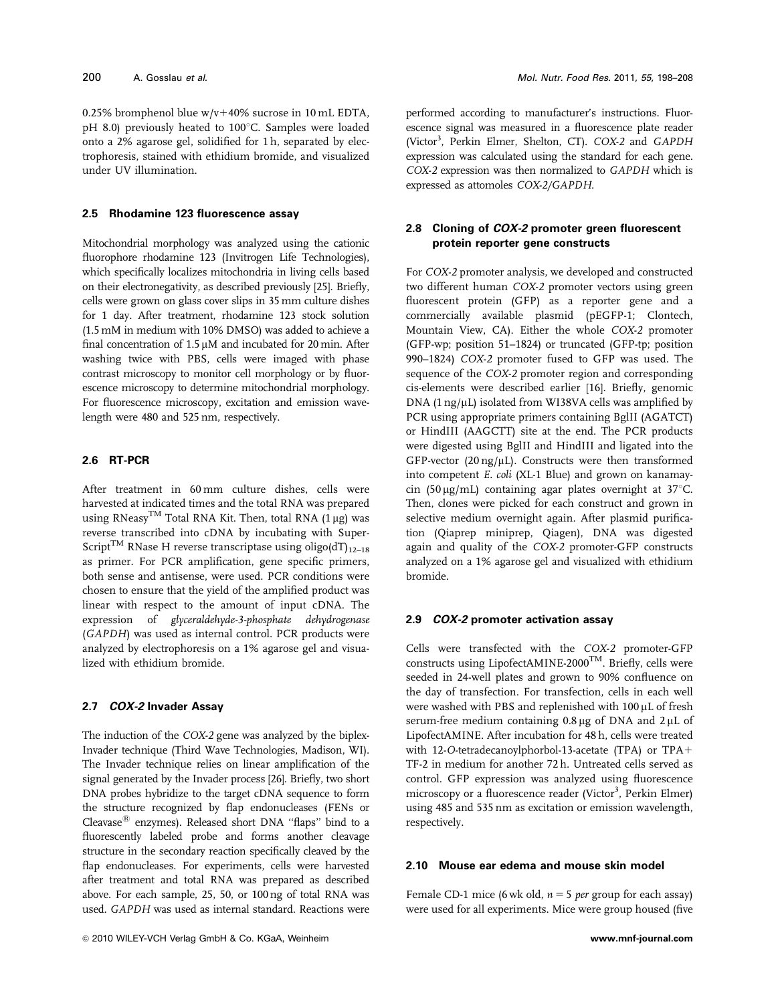0.25% bromphenol blue  $w/v+40\%$  sucrose in 10 mL EDTA,  $pH$  8.0) previously heated to 100 $^{\circ}$ C. Samples were loaded onto a 2% agarose gel, solidified for 1 h, separated by electrophoresis, stained with ethidium bromide, and visualized under UV illumination.

#### **2.5 Rhodamine 123 fluorescence assay**

Mitochondrial morphology was analyzed using the cationic fluorophore rhodamine 123 (Invitrogen Life Technologies), which specifically localizes mitochondria in living cells based on their electronegativity, as described previously [25]. Briefly, cells were grown on glass cover slips in 35 mm culture dishes for 1 day. After treatment, rhodamine 123 stock solution (1.5 mM in medium with 10% DMSO) was added to achieve a final concentration of  $1.5 \mu M$  and incubated for  $20 \text{ min. After}$ washing twice with PBS, cells were imaged with phase contrast microscopy to monitor cell morphology or by fluorescence microscopy to determine mitochondrial morphology. For fluorescence microscopy, excitation and emission wavelength were 480 and 525 nm, respectively.

# **2.6 RT-PCR**

After treatment in 60 mm culture dishes, cells were harvested at indicated times and the total RNA was prepared using RNeasy<sup>TM</sup> Total RNA Kit. Then, total RNA  $(1 \mu g)$  was reverse transcribed into cDNA by incubating with Super-Script<sup>TM</sup> RNase H reverse transcriptase using oligo(dT)<sub>12–18</sub> as primer. For PCR amplification, gene specific primers, both sense and antisense, were used. PCR conditions were chosen to ensure that the yield of the amplified product was linear with respect to the amount of input cDNA. The expression of glyceraldehyde-3-phosphate dehydrogenase (GAPDH) was used as internal control. PCR products were analyzed by electrophoresis on a 1% agarose gel and visualized with ethidium bromide.

#### **2.7 COX-2 Invader Assay**

The induction of the COX-2 gene was analyzed by the biplex-Invader technique (Third Wave Technologies, Madison, WI). The Invader technique relies on linear amplification of the signal generated by the Invader process [26]. Briefly, two short DNA probes hybridize to the target cDNA sequence to form the structure recognized by flap endonucleases (FENs or Cleavase $^{\circledR}$  enzymes). Released short DNA "flaps" bind to a fluorescently labeled probe and forms another cleavage structure in the secondary reaction specifically cleaved by the flap endonucleases. For experiments, cells were harvested after treatment and total RNA was prepared as described above. For each sample, 25, 50, or 100 ng of total RNA was used. GAPDH was used as internal standard. Reactions were

performed according to manufacturer's instructions. Fluorescence signal was measured in a fluorescence plate reader (Victor<sup>3</sup>, Perkin Elmer, Shelton, CT). COX-2 and GAPDH expression was calculated using the standard for each gene. COX-2 expression was then normalized to GAPDH which is expressed as attomoles COX-2/GAPDH.

# **2.8 Cloning of COX-2 promoter green fluorescent protein reporter gene constructs**

For COX-2 promoter analysis, we developed and constructed two different human COX-2 promoter vectors using green fluorescent protein (GFP) as a reporter gene and a commercially available plasmid (pEGFP-1; Clontech, Mountain View, CA). Either the whole COX-2 promoter (GFP-wp; position 51–1824) or truncated (GFP-tp; position 990–1824) COX-2 promoter fused to GFP was used. The sequence of the COX-2 promoter region and corresponding cis-elements were described earlier [16]. Briefly, genomic  $DNA$  (1 ng/ $\mu$ L) isolated from WI38VA cells was amplified by PCR using appropriate primers containing BglII (AGATCT) or HindIII (AAGCTT) site at the end. The PCR products were digested using BglII and HindIII and ligated into the GFP-vector (20 ng/ $\mu$ L). Constructs were then transformed into competent E. coli (XL-1 Blue) and grown on kanamaycin (50 µg/mL) containing agar plates overnight at  $37^{\circ}$ C. Then, clones were picked for each construct and grown in selective medium overnight again. After plasmid purification (Qiaprep miniprep, Qiagen), DNA was digested again and quality of the COX-2 promoter-GFP constructs analyzed on a 1% agarose gel and visualized with ethidium bromide.

# **2.9 COX-2 promoter activation assay**

Cells were transfected with the COX-2 promoter-GFP constructs using LipofectAMINE-2000TM. Briefly, cells were seeded in 24-well plates and grown to 90% confluence on the day of transfection. For transfection, cells in each well were washed with PBS and replenished with 100 µL of fresh serum-free medium containing  $0.8 \mu$ g of DNA and  $2 \mu$ L of LipofectAMINE. After incubation for 48 h, cells were treated with 12-O-tetradecanoylphorbol-13-acetate (TPA) or  $TPA+$ TF-2 in medium for another 72 h. Untreated cells served as control. GFP expression was analyzed using fluorescence microscopy or a fluorescence reader (Victor<sup>3</sup>, Perkin Elmer) using 485 and 535 nm as excitation or emission wavelength, respectively.

## **2.10 Mouse ear edema and mouse skin model**

Female CD-1 mice (6 wk old,  $n = 5$  per group for each assay) were used for all experiments. Mice were group housed (five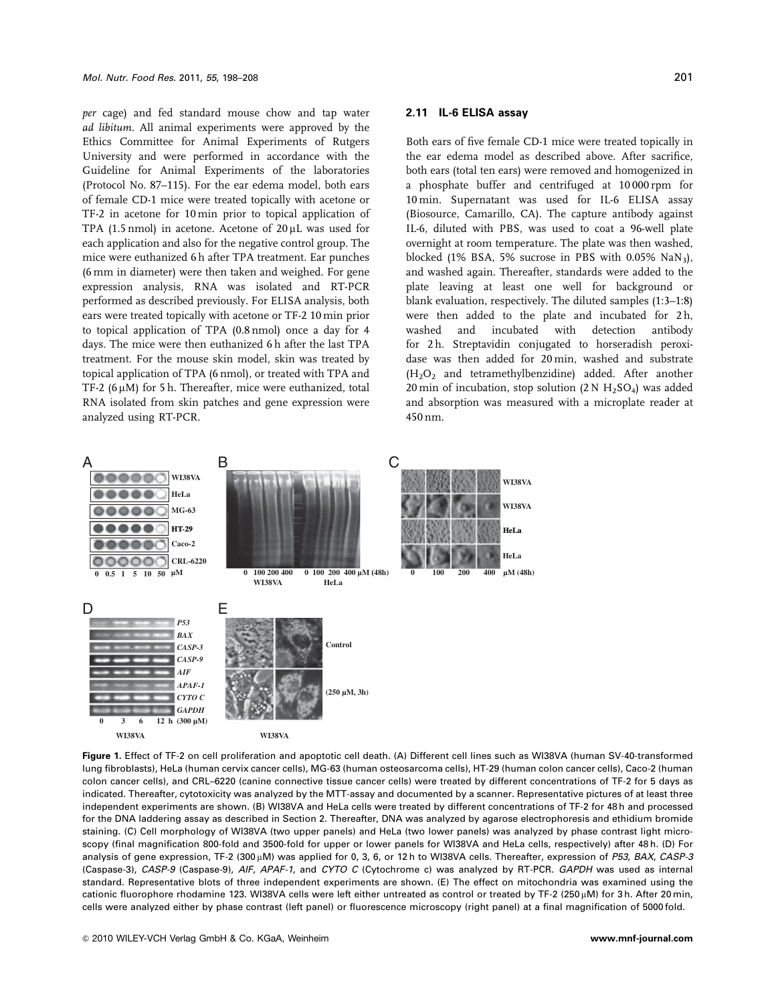per cage) and fed standard mouse chow and tap water ad libitum. All animal experiments were approved by the Ethics Committee for Animal Experiments of Rutgers University and were performed in accordance with the Guideline for Animal Experiments of the laboratories (Protocol No. 87–115). For the ear edema model, both ears of female CD-1 mice were treated topically with acetone or TF-2 in acetone for 10 min prior to topical application of TPA (1.5 nmol) in acetone. Acetone of  $20 \mu$ L was used for each application and also for the negative control group. The mice were euthanized 6 h after TPA treatment. Ear punches (6 mm in diameter) were then taken and weighed. For gene expression analysis, RNA was isolated and RT-PCR performed as described previously. For ELISA analysis, both ears were treated topically with acetone or TF-2 10 min prior to topical application of TPA (0.8 nmol) once a day for 4 days. The mice were then euthanized 6 h after the last TPA treatment. For the mouse skin model, skin was treated by topical application of TPA (6 nmol), or treated with TPA and TF-2  $(6 \mu M)$  for 5 h. Thereafter, mice were euthanized, total RNA isolated from skin patches and gene expression were analyzed using RT-PCR.

#### **2.11 IL-6 ELISA assay**

Both ears of five female CD-1 mice were treated topically in the ear edema model as described above. After sacrifice, both ears (total ten ears) were removed and homogenized in a phosphate buffer and centrifuged at 10 000 rpm for 10 min. Supernatant was used for IL-6 ELISA assay (Biosource, Camarillo, CA). The capture antibody against IL-6, diluted with PBS, was used to coat a 96-well plate overnight at room temperature. The plate was then washed, blocked (1% BSA, 5% sucrose in PBS with  $0.05\%$  NaN<sub>3</sub>), and washed again. Thereafter, standards were added to the plate leaving at least one well for background or blank evaluation, respectively. The diluted samples (1:3–1:8) were then added to the plate and incubated for 2h, washed and incubated with detection antibody for 2 h. Streptavidin conjugated to horseradish peroxidase was then added for 20 min, washed and substrate  $(H<sub>2</sub>O<sub>2</sub>$  and tetramethylbenzidine) added. After another 20 min of incubation, stop solution  $(2 N H_2SO_4)$  was added and absorption was measured with a microplate reader at 450 nm.



**Figure 1.** Effect of TF-2 on cell proliferation and apoptotic cell death. (A) Different cell lines such as WI38VA (human SV-40-transformed lung fibroblasts), HeLa (human cervix cancer cells), MG-63 (human osteosarcoma cells), HT-29 (human colon cancer cells), Caco-2 (human colon cancer cells), and CRL–6220 (canine connective tissue cancer cells) were treated by different concentrations of TF-2 for 5 days as indicated. Thereafter, cytotoxicity was analyzed by the MTT-assay and documented by a scanner. Representative pictures of at least three independent experiments are shown. (B) WI38VA and HeLa cells were treated by different concentrations of TF-2 for 48 h and processed for the DNA laddering assay as described in Section 2. Thereafter, DNA was analyzed by agarose electrophoresis and ethidium bromide staining. (C) Cell morphology of WI38VA (two upper panels) and HeLa (two lower panels) was analyzed by phase contrast light microscopy (final magnification 800-fold and 3500-fold for upper or lower panels for WI38VA and HeLa cells, respectively) after 48 h. (D) For analysis of gene expression, TF-2 (300 µM) was applied for 0, 3, 6, or 12 h to WI38VA cells. Thereafter, expression of P53, BAX, CASP-3 (Caspase-3), CASP-9 (Caspase-9), AIF, APAF-1, and CYTO C (Cytochrome c) was analyzed by RT-PCR. GAPDH was used as internal standard. Representative blots of three independent experiments are shown. (E) The effect on mitochondria was examined using the cationic fluorophore rhodamine 123. WI38VA cells were left either untreated as control or treated by TF-2 (250  $\mu$ M) for 3 h. After 20 min, cells were analyzed either by phase contrast (left panel) or fluorescence microscopy (right panel) at a final magnification of 5000 fold.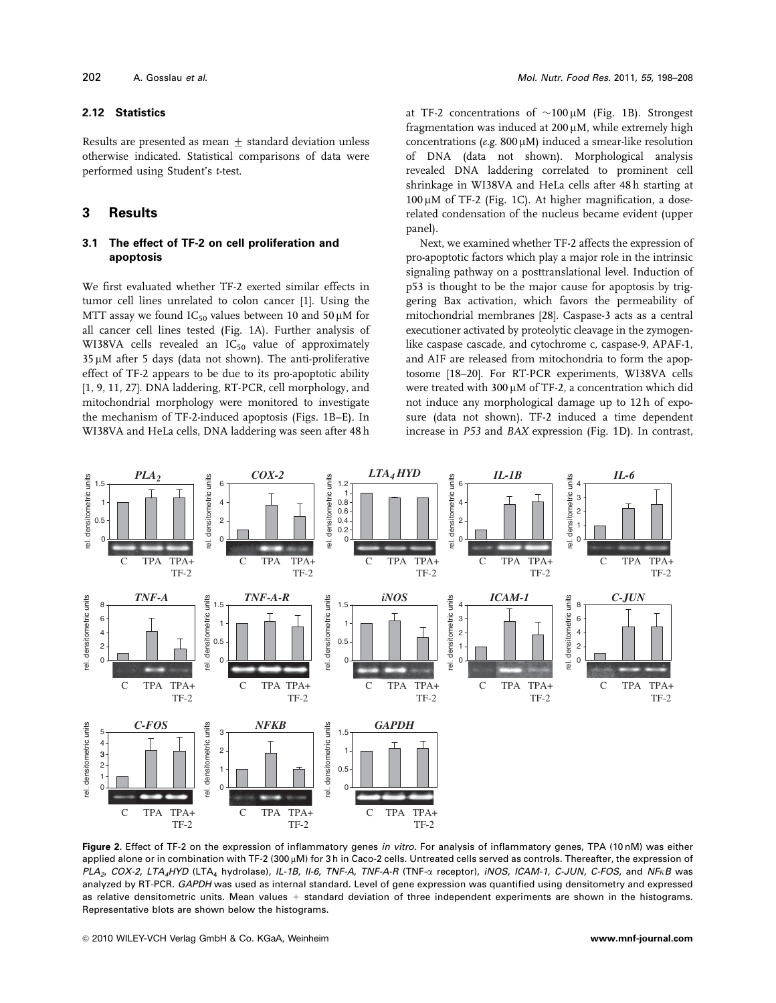#### **2.12 Statistics**

Results are presented as mean  $\pm$  standard deviation unless otherwise indicated. Statistical comparisons of data were performed using Student's t-test.

# **3 Results**

# **3.1 The effect of TF-2 on cell proliferation and apoptosis**

We first evaluated whether TF-2 exerted similar effects in tumor cell lines unrelated to colon cancer [1]. Using the MTT assay we found  $IC_{50}$  values between 10 and 50  $\mu$ M for all cancer cell lines tested (Fig. 1A). Further analysis of WI38VA cells revealed an IC<sub>50</sub> value of approximately  $35 \mu$ M after 5 days (data not shown). The anti-proliferative effect of TF-2 appears to be due to its pro-apoptotic ability [1, 9, 11, 27]. DNA laddering, RT-PCR, cell morphology, and mitochondrial morphology were monitored to investigate the mechanism of TF-2-induced apoptosis (Figs. 1B–E). In WI38VA and HeLa cells, DNA laddering was seen after 48 h

at TF-2 concentrations of  $\sim 100 \mu M$  (Fig. 1B). Strongest fragmentation was induced at  $200 \mu$ M, while extremely high concentrations (e.g.  $800 \mu$ M) induced a smear-like resolution of DNA (data not shown). Morphological analysis revealed DNA laddering correlated to prominent cell shrinkage in WI38VA and HeLa cells after 48 h starting at  $100 \mu$ M of TF-2 (Fig. 1C). At higher magnification, a doserelated condensation of the nucleus became evident (upper panel).

Next, we examined whether TF-2 affects the expression of pro-apoptotic factors which play a major role in the intrinsic signaling pathway on a posttranslational level. Induction of p53 is thought to be the major cause for apoptosis by triggering Bax activation, which favors the permeability of mitochondrial membranes [28]. Caspase-3 acts as a central executioner activated by proteolytic cleavage in the zymogenlike caspase cascade, and cytochrome c, caspase-9, APAF-1, and AIF are released from mitochondria to form the apoptosome [18–20]. For RT-PCR experiments, WI38VA cells were treated with  $300 \mu$ M of TF-2, a concentration which did not induce any morphological damage up to 12 h of exposure (data not shown). TF-2 induced a time dependent increase in P53 and BAX expression (Fig. 1D). In contrast,



**Figure 2.** Effect of TF-2 on the expression of inflammatory genes in vitro. For analysis of inflammatory genes, TPA (10 nM) was either applied alone or in combination with TF-2 (300 µM) for 3 h in Caco-2 cells. Untreated cells served as controls. Thereafter, the expression of  $PLA_2$ , COX-2, LTA<sub>4</sub>HYD (LTA<sub>4</sub> hydrolase), IL-1B, II-6, TNF-A, TNF-A-R (TNF- $\alpha$  receptor), iNOS, ICAM-1, C-JUN, C-FOS, and NF<sub>K</sub>B was analyzed by RT-PCR. GAPDH was used as internal standard. Level of gene expression was quantified using densitometry and expressed as relative densitometric units. Mean values + standard deviation of three independent experiments are shown in the histograms. Representative blots are shown below the histograms.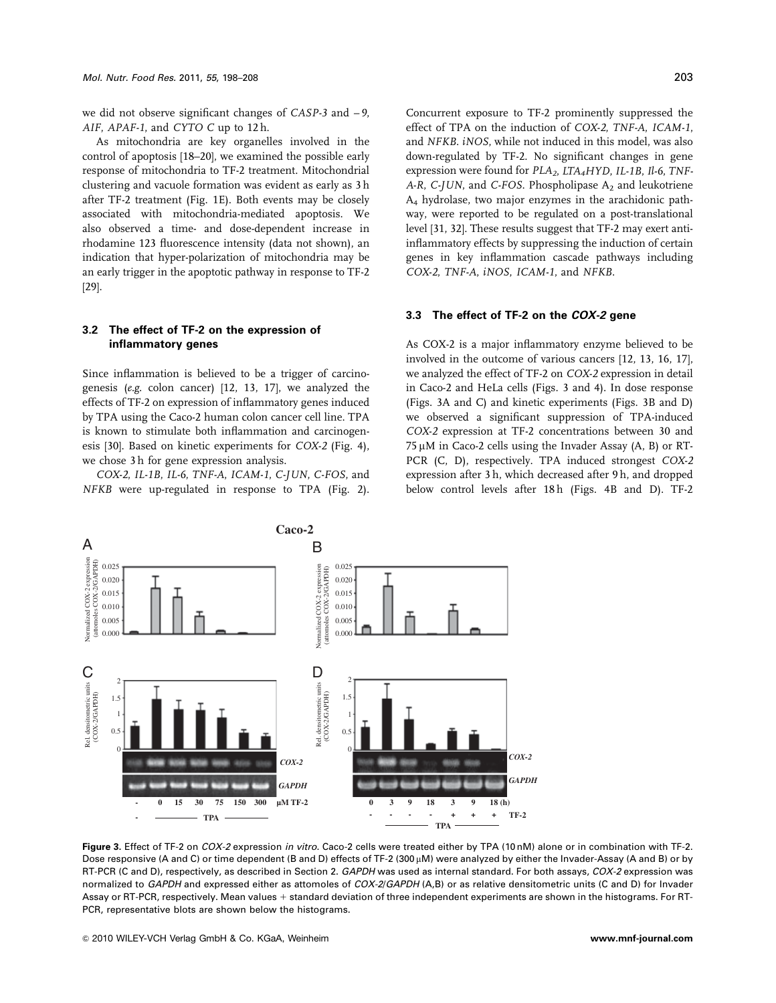we did not observe significant changes of CASP-3 and – 9, AIF, APAF-1, and CYTO C up to 12h.

As mitochondria are key organelles involved in the control of apoptosis [18–20], we examined the possible early response of mitochondria to TF-2 treatment. Mitochondrial clustering and vacuole formation was evident as early as 3 h after TF-2 treatment (Fig. 1E). Both events may be closely associated with mitochondria-mediated apoptosis. We also observed a time- and dose-dependent increase in rhodamine 123 fluorescence intensity (data not shown), an indication that hyper-polarization of mitochondria may be an early trigger in the apoptotic pathway in response to TF-2 [29].

## **3.2 The effect of TF-2 on the expression of inflammatory genes**

Since inflammation is believed to be a trigger of carcinogenesis (e.g. colon cancer) [12, 13, 17], we analyzed the effects of TF-2 on expression of inflammatory genes induced by TPA using the Caco-2 human colon cancer cell line. TPA is known to stimulate both inflammation and carcinogenesis [30]. Based on kinetic experiments for COX-2 (Fig. 4), we chose 3 h for gene expression analysis.

COX-2, IL-1B, IL-6, TNF-A, ICAM-1, C-JUN, C-FOS, and NFKB were up-regulated in response to TPA (Fig. 2).

Concurrent exposure to TF-2 prominently suppressed the effect of TPA on the induction of COX-2, TNF-A, ICAM-1, and NFKB. iNOS, while not induced in this model, was also down-regulated by TF-2. No significant changes in gene expression were found for  $PLA_2$ ,  $LTA_4HYD$ , IL-1B, Il-6, TNF-A-R, C-JUN, and C-FOS. Phospholipase  $A_2$  and leukotriene A4 hydrolase, two major enzymes in the arachidonic pathway, were reported to be regulated on a post-translational level [31, 32]. These results suggest that TF-2 may exert antiinflammatory effects by suppressing the induction of certain genes in key inflammation cascade pathways including COX-2, TNF-A, iNOS, ICAM-1, and NFKB.

#### **3.3 The effect of TF-2 on the COX-2 gene**

As COX-2 is a major inflammatory enzyme believed to be involved in the outcome of various cancers [12, 13, 16, 17], we analyzed the effect of TF-2 on COX-2 expression in detail in Caco-2 and HeLa cells (Figs. 3 and 4). In dose response (Figs. 3A and C) and kinetic experiments (Figs. 3B and D) we observed a significant suppression of TPA-induced COX-2 expression at TF-2 concentrations between 30 and  $75 \mu$ M in Caco-2 cells using the Invader Assay (A, B) or RT-PCR (C, D), respectively. TPA induced strongest COX-2 expression after 3 h, which decreased after 9 h, and dropped below control levels after 18h (Figs. 4B and D). TF-2



**Caco-2**

Dose responsive (A and C) or time dependent (B and D) effects of TF-2 (300  $\mu$ M) were analyzed by either the Invader-Assay (A and B) or by RT-PCR (C and D), respectively, as described in Section 2. GAPDH was used as internal standard. For both assays, COX-2 expression was normalized to GAPDH and expressed either as attomoles of COX-2/GAPDH (A,B) or as relative densitometric units (C and D) for Invader Assay or RT-PCR, respectively. Mean values + standard deviation of three independent experiments are shown in the histograms. For RT-PCR, representative blots are shown below the histograms.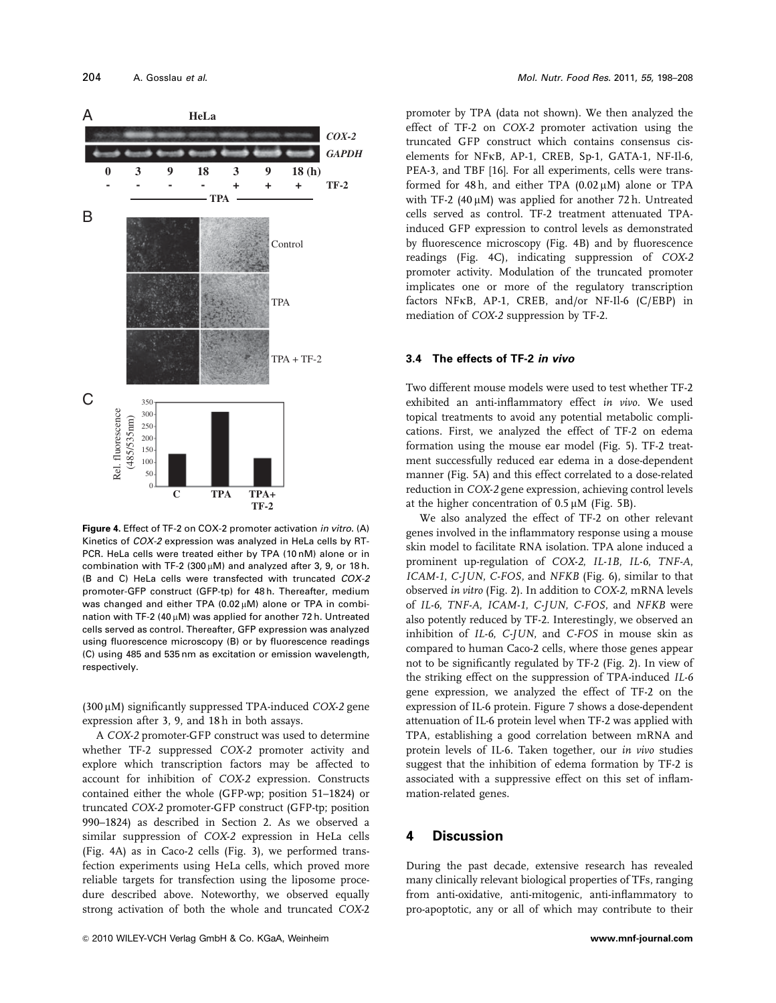

**Figure 4.** Effect of TF-2 on COX-2 promoter activation in vitro. (A) Kinetics of COX-2 expression was analyzed in HeLa cells by RT-PCR. HeLa cells were treated either by TPA (10 nM) alone or in combination with TF-2 (300  $\mu$ M) and analyzed after 3, 9, or 18 h. (B and C) HeLa cells were transfected with truncated COX-2 promoter-GFP construct (GFP-tp) for 48 h. Thereafter, medium was changed and either TPA (0.02 $\mu$ M) alone or TPA in combination with TF-2 (40  $\mu$ M) was applied for another 72 h. Untreated cells served as control. Thereafter, GFP expression was analyzed using fluorescence microscopy (B) or by fluorescence readings (C) using 485 and 535 nm as excitation or emission wavelength, respectively.

 $(300 \,\mu M)$  significantly suppressed TPA-induced COX-2 gene expression after 3, 9, and 18 h in both assays.

A COX-2 promoter-GFP construct was used to determine whether TF-2 suppressed COX-2 promoter activity and explore which transcription factors may be affected to account for inhibition of COX-2 expression. Constructs contained either the whole (GFP-wp; position 51–1824) or truncated COX-2 promoter-GFP construct (GFP-tp; position 990–1824) as described in Section 2. As we observed a similar suppression of COX-2 expression in HeLa cells (Fig. 4A) as in Caco-2 cells (Fig. 3), we performed transfection experiments using HeLa cells, which proved more reliable targets for transfection using the liposome procedure described above. Noteworthy, we observed equally strong activation of both the whole and truncated COX-2

promoter by TPA (data not shown). We then analyzed the effect of TF-2 on COX-2 promoter activation using the truncated GFP construct which contains consensus ciselements for NFkB, AP-1, CREB, Sp-1, GATA-1, NF-Il-6, PEA-3, and TBF [16]. For all experiments, cells were transformed for 48 h, and either TPA  $(0.02 \mu M)$  alone or TPA with TF-2 (40  $\mu$ M) was applied for another 72 h. Untreated cells served as control. TF-2 treatment attenuated TPAinduced GFP expression to control levels as demonstrated by fluorescence microscopy (Fig. 4B) and by fluorescence readings (Fig. 4C), indicating suppression of COX-2 promoter activity. Modulation of the truncated promoter implicates one or more of the regulatory transcription factors NFkB, AP-1, CREB, and/or NF-Il-6 (C/EBP) in mediation of COX-2 suppression by TF-2.

#### **3.4 The effects of TF-2 in vivo**

Two different mouse models were used to test whether TF-2 exhibited an anti-inflammatory effect in vivo. We used topical treatments to avoid any potential metabolic complications. First, we analyzed the effect of TF-2 on edema formation using the mouse ear model (Fig. 5). TF-2 treatment successfully reduced ear edema in a dose-dependent manner (Fig. 5A) and this effect correlated to a dose-related reduction in COX-2 gene expression, achieving control levels at the higher concentration of  $0.5 \mu M$  (Fig. 5B).

We also analyzed the effect of TF-2 on other relevant genes involved in the inflammatory response using a mouse skin model to facilitate RNA isolation. TPA alone induced a prominent up-regulation of COX-2, IL-1B, IL-6, TNF-A, ICAM-1, C-JUN, C-FOS, and NFKB (Fig. 6), similar to that observed in vitro (Fig. 2). In addition to COX-2, mRNA levels of IL-6, TNF-A, ICAM-1, C-JUN, C-FOS, and NFKB were also potently reduced by TF-2. Interestingly, we observed an inhibition of IL-6, C-JUN, and C-FOS in mouse skin as compared to human Caco-2 cells, where those genes appear not to be significantly regulated by TF-2 (Fig. 2). In view of the striking effect on the suppression of TPA-induced IL-6 gene expression, we analyzed the effect of TF-2 on the expression of IL-6 protein. Figure 7 shows a dose-dependent attenuation of IL-6 protein level when TF-2 was applied with TPA, establishing a good correlation between mRNA and protein levels of IL-6. Taken together, our in vivo studies suggest that the inhibition of edema formation by TF-2 is associated with a suppressive effect on this set of inflammation-related genes.

# **4 Discussion**

During the past decade, extensive research has revealed many clinically relevant biological properties of TFs, ranging from anti-oxidative, anti-mitogenic, anti-inflammatory to pro-apoptotic, any or all of which may contribute to their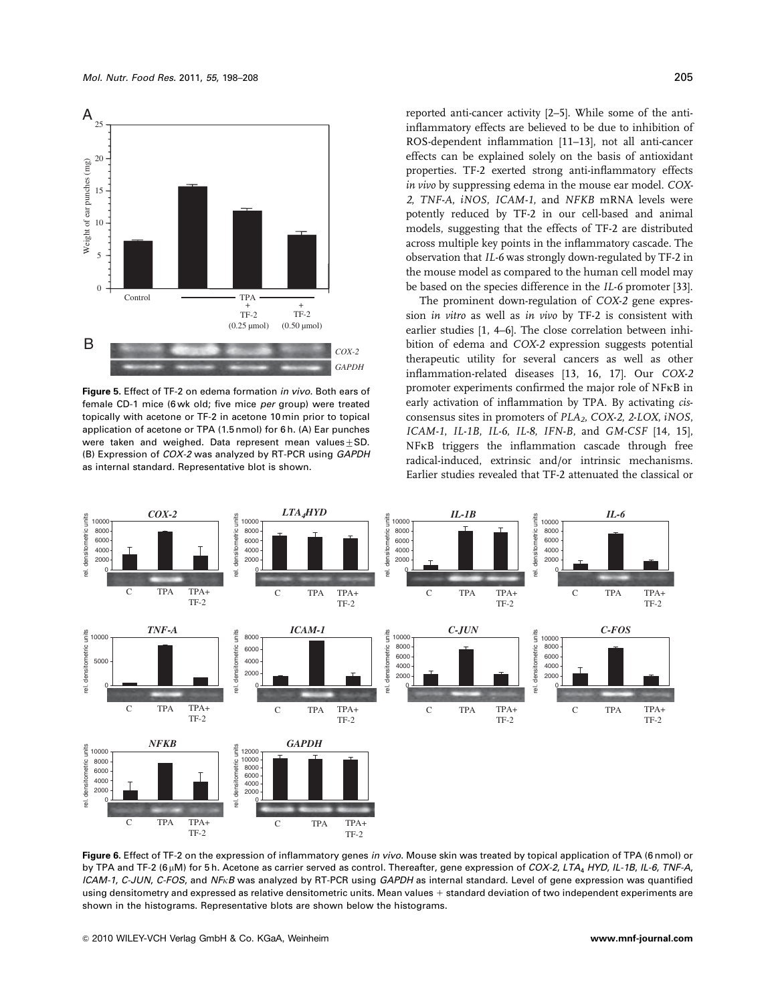

**Figure 5.** Effect of TF-2 on edema formation in vivo. Both ears of female CD-1 mice (6 wk old; five mice per group) were treated topically with acetone or TF-2 in acetone 10 min prior to topical application of acetone or TPA (1.5 nmol) for 6 h. (A) Ear punches were taken and weighed. Data represent mean values  $+$  SD. (B) Expression of COX-2 was analyzed by RT-PCR using GAPDH as internal standard. Representative blot is shown.

reported anti-cancer activity [2–5]. While some of the antiinflammatory effects are believed to be due to inhibition of ROS-dependent inflammation [11–13], not all anti-cancer effects can be explained solely on the basis of antioxidant properties. TF-2 exerted strong anti-inflammatory effects in vivo by suppressing edema in the mouse ear model. COX-2, TNF-A, iNOS, ICAM-1, and NFKB mRNA levels were potently reduced by TF-2 in our cell-based and animal models, suggesting that the effects of TF-2 are distributed across multiple key points in the inflammatory cascade. The observation that IL-6 was strongly down-regulated by TF-2 in the mouse model as compared to the human cell model may be based on the species difference in the IL-6 promoter [33].

The prominent down-regulation of COX-2 gene expression in vitro as well as in vivo by TF-2 is consistent with earlier studies [1, 4–6]. The close correlation between inhibition of edema and COX-2 expression suggests potential therapeutic utility for several cancers as well as other inflammation-related diseases [13, 16, 17]. Our COX-2 promoter experiments confirmed the major role of NFkB in early activation of inflammation by TPA. By activating cisconsensus sites in promoters of  $PLA_2$ , COX-2, 2-LOX, iNOS, ICAM-1, IL-1B, IL-6, IL-8, IFN-B, and GM-CSF [14, 15], NFkB triggers the inflammation cascade through free radical-induced, extrinsic and/or intrinsic mechanisms. Earlier studies revealed that TF-2 attenuated the classical or



**Figure 6.** Effect of TF-2 on the expression of inflammatory genes in vivo. Mouse skin was treated by topical application of TPA (6 nmol) or by TPA and TF-2 (6  $\mu$ M) for 5 h. Acetone as carrier served as control. Thereafter, gene expression of COX-2, LTA<sub>4</sub> HYD, IL-1B, IL-6, TNF-A, ICAM-1, C-JUN, C-FOS, and NF<sub>K</sub>B was analyzed by RT-PCR using GAPDH as internal standard. Level of gene expression was quantified using densitometry and expressed as relative densitometric units. Mean values + standard deviation of two independent experiments are shown in the histograms. Representative blots are shown below the histograms.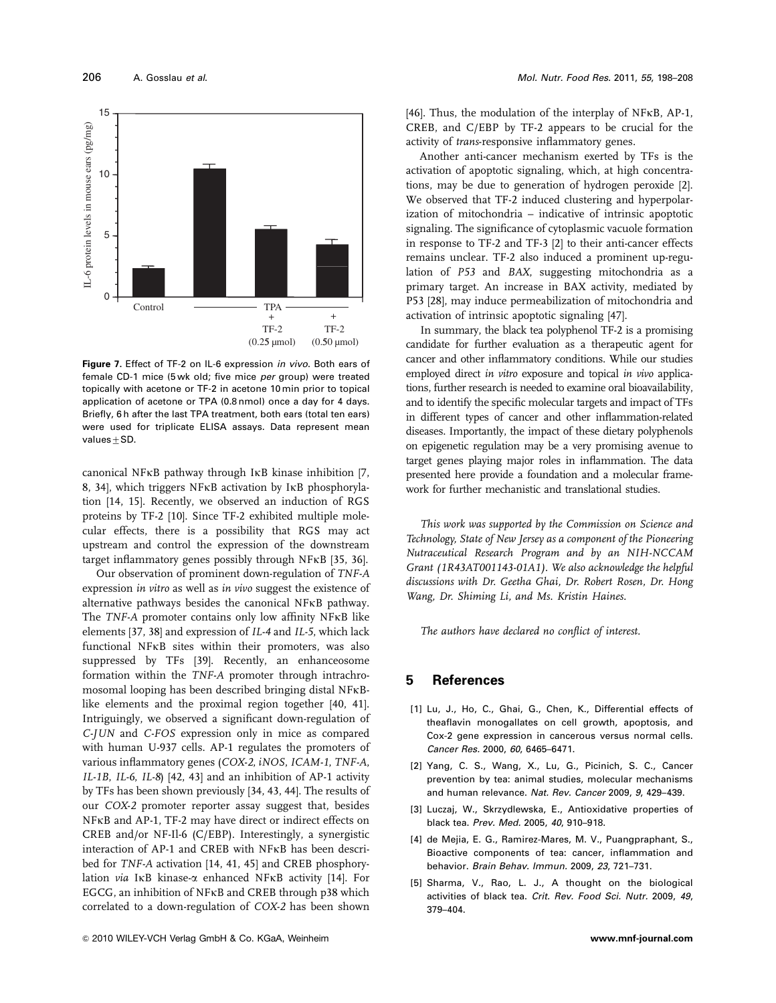

**Figure 7.** Effect of TF-2 on IL-6 expression in vivo. Both ears of female CD-1 mice (5 wk old; five mice per group) were treated topically with acetone or TF-2 in acetone 10 min prior to topical application of acetone or TPA (0.8 nmol) once a day for 4 days. Briefly, 6 h after the last TPA treatment, both ears (total ten ears) were used for triplicate ELISA assays. Data represent mean values $\pm$ SD.

canonical NFkB pathway through IkB kinase inhibition [7, 8, 34], which triggers NFkB activation by IkB phosphorylation [14, 15]. Recently, we observed an induction of RGS proteins by TF-2 [10]. Since TF-2 exhibited multiple molecular effects, there is a possibility that RGS may act upstream and control the expression of the downstream target inflammatory genes possibly through NFkB [35, 36].

Our observation of prominent down-regulation of TNF-A expression in vitro as well as in vivo suggest the existence of alternative pathways besides the canonical NFkB pathway. The TNF-A promoter contains only low affinity NFkB like elements [37, 38] and expression of IL-4 and IL-5, which lack functional NFkB sites within their promoters, was also suppressed by TFs [39]. Recently, an enhanceosome formation within the TNF-A promoter through intrachromosomal looping has been described bringing distal NFkBlike elements and the proximal region together [40, 41]. Intriguingly, we observed a significant down-regulation of C-JUN and C-FOS expression only in mice as compared with human U-937 cells. AP-1 regulates the promoters of various inflammatory genes (COX-2, iNOS, ICAM-1, TNF-A, IL-1B, IL-6, IL-8) [42, 43] and an inhibition of AP-1 activity by TFs has been shown previously [34, 43, 44]. The results of our COX-2 promoter reporter assay suggest that, besides NFkB and AP-1, TF-2 may have direct or indirect effects on CREB and/or NF-Il-6 (C/EBP). Interestingly, a synergistic interaction of AP-1 and CREB with NFkB has been described for TNF-A activation [14, 41, 45] and CREB phosphorylation via IkB kinase-a enhanced NFkB activity [14]. For EGCG, an inhibition of NFkB and CREB through p38 which correlated to a down-regulation of COX-2 has been shown

[46]. Thus, the modulation of the interplay of  $NFKB$ , AP-1, CREB, and C/EBP by TF-2 appears to be crucial for the activity of trans-responsive inflammatory genes.

Another anti-cancer mechanism exerted by TFs is the activation of apoptotic signaling, which, at high concentrations, may be due to generation of hydrogen peroxide [2]. We observed that TF-2 induced clustering and hyperpolarization of mitochondria – indicative of intrinsic apoptotic signaling. The significance of cytoplasmic vacuole formation in response to TF-2 and TF-3 [2] to their anti-cancer effects remains unclear. TF-2 also induced a prominent up-regulation of P53 and BAX, suggesting mitochondria as a primary target. An increase in BAX activity, mediated by P53 [28], may induce permeabilization of mitochondria and activation of intrinsic apoptotic signaling [47].

In summary, the black tea polyphenol TF-2 is a promising candidate for further evaluation as a therapeutic agent for cancer and other inflammatory conditions. While our studies employed direct in vitro exposure and topical in vivo applications, further research is needed to examine oral bioavailability, and to identify the specific molecular targets and impact of TFs in different types of cancer and other inflammation-related diseases. Importantly, the impact of these dietary polyphenols on epigenetic regulation may be a very promising avenue to target genes playing major roles in inflammation. The data presented here provide a foundation and a molecular framework for further mechanistic and translational studies.

This work was supported by the Commission on Science and Technology, State of New Jersey as a component of the Pioneering Nutraceutical Research Program and by an NIH-NCCAM Grant (1R43AT001143-01A1). We also acknowledge the helpful discussions with Dr. Geetha Ghai, Dr. Robert Rosen, Dr. Hong Wang, Dr. Shiming Li, and Ms. Kristin Haines.

The authors have declared no conflict of interest.

# **5 References**

- [1] Lu, J., Ho, C., Ghai, G., Chen, K., Differential effects of theaflavin monogallates on cell growth, apoptosis, and Cox-2 gene expression in cancerous versus normal cells. Cancer Res. 2000, 60, 6465–6471.
- [2] Yang, C. S., Wang, X., Lu, G., Picinich, S. C., Cancer prevention by tea: animal studies, molecular mechanisms and human relevance. Nat. Rev. Cancer 2009, 9, 429–439.
- [3] Luczaj, W., Skrzydlewska, E., Antioxidative properties of black tea. Prev. Med. 2005, 40, 910–918.
- [4] de Mejia, E. G., Ramirez-Mares, M. V., Puangpraphant, S., Bioactive components of tea: cancer, inflammation and behavior. Brain Behav. Immun. 2009, 23, 721–731.
- [5] Sharma, V., Rao, L. J., A thought on the biological activities of black tea. Crit. Rev. Food Sci. Nutr. 2009, 49, 379–404.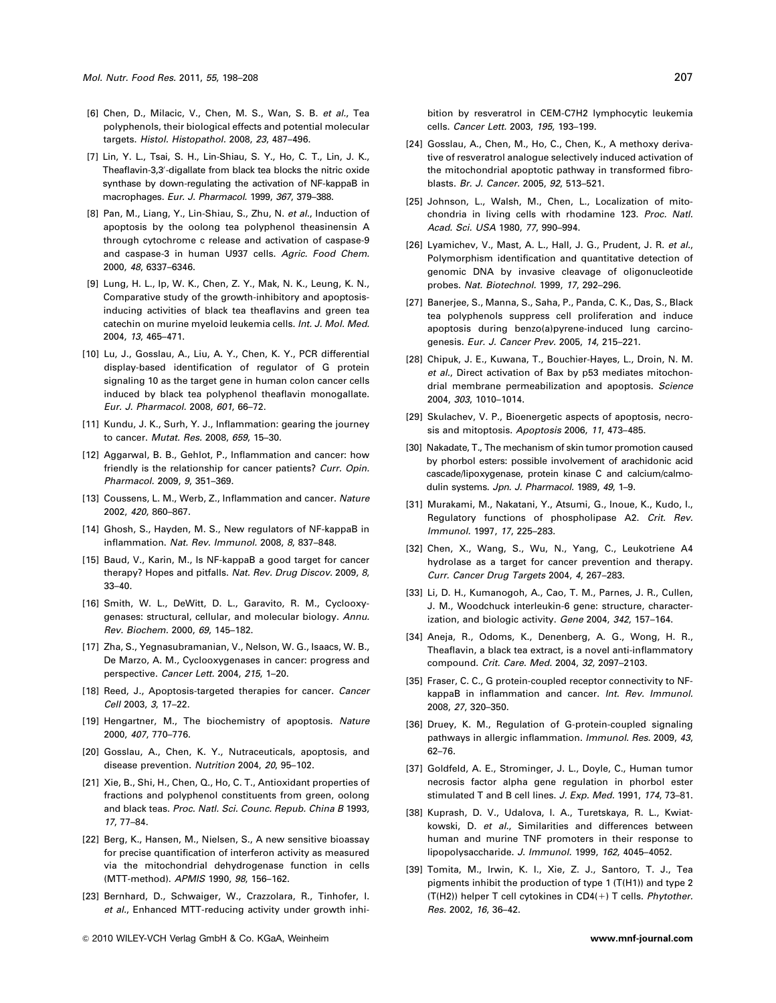- [6] Chen, D., Milacic, V., Chen, M. S., Wan, S. B. et al., Tea polyphenols, their biological effects and potential molecular targets. Histol. Histopathol. 2008, 23, 487–496.
- [7] Lin, Y. L., Tsai, S. H., Lin-Shiau, S. Y., Ho, C. T., Lin, J. K., Theaflavin-3,3'-digallate from black tea blocks the nitric oxide synthase by down-regulating the activation of NF-kappaB in macrophages. Eur. J. Pharmacol. 1999, 367, 379–388.
- [8] Pan, M., Liang, Y., Lin-Shiau, S., Zhu, N. et al., Induction of apoptosis by the oolong tea polyphenol theasinensin A through cytochrome c release and activation of caspase-9 and caspase-3 in human U937 cells. Agric. Food Chem. 2000, 48, 6337–6346.
- [9] Lung, H. L., Ip, W. K., Chen, Z. Y., Mak, N. K., Leung, K. N., Comparative study of the growth-inhibitory and apoptosisinducing activities of black tea theaflavins and green tea catechin on murine myeloid leukemia cells. Int. J. Mol. Med. 2004, 13, 465–471.
- [10] Lu, J., Gosslau, A., Liu, A. Y., Chen, K. Y., PCR differential display-based identification of regulator of G protein signaling 10 as the target gene in human colon cancer cells induced by black tea polyphenol theaflavin monogallate. Eur. J. Pharmacol. 2008, 601, 66–72.
- [11] Kundu, J. K., Surh, Y. J., Inflammation: gearing the journey to cancer. Mutat. Res. 2008, 659, 15–30.
- [12] Aggarwal, B. B., Gehlot, P., Inflammation and cancer: how friendly is the relationship for cancer patients? Curr. Opin. Pharmacol. 2009, 9, 351–369.
- [13] Coussens, L. M., Werb, Z., Inflammation and cancer. Nature 2002, 420, 860–867.
- [14] Ghosh, S., Hayden, M. S., New regulators of NF-kappaB in inflammation. Nat. Rev. Immunol. 2008, 8, 837–848.
- [15] Baud, V., Karin, M., Is NF-kappaB a good target for cancer therapy? Hopes and pitfalls. Nat. Rev. Drug Discov. 2009, 8, 33–40.
- [16] Smith, W. L., DeWitt, D. L., Garavito, R. M., Cyclooxygenases: structural, cellular, and molecular biology. Annu. Rev. Biochem. 2000, 69, 145–182.
- [17] Zha, S., Yegnasubramanian, V., Nelson, W. G., Isaacs, W. B., De Marzo, A. M., Cyclooxygenases in cancer: progress and perspective. Cancer Lett. 2004, 215, 1–20.
- [18] Reed, J., Apoptosis-targeted therapies for cancer. Cancer Cell 2003, 3, 17–22.
- [19] Hengartner, M., The biochemistry of apoptosis. Nature 2000, 407, 770–776.
- [20] Gosslau, A., Chen, K. Y., Nutraceuticals, apoptosis, and disease prevention. Nutrition 2004, 20, 95–102.
- [21] Xie, B., Shi, H., Chen, Q., Ho, C. T., Antioxidant properties of fractions and polyphenol constituents from green, oolong and black teas. Proc. Natl. Sci. Counc. Repub. China B 1993, 17, 77–84.
- [22] Berg, K., Hansen, M., Nielsen, S., A new sensitive bioassay for precise quantification of interferon activity as measured via the mitochondrial dehydrogenase function in cells (MTT-method). APMIS 1990, 98, 156–162.
- [23] Bernhard, D., Schwaiger, W., Crazzolara, R., Tinhofer, I. et al., Enhanced MTT-reducing activity under growth inhi-

bition by resveratrol in CEM-C7H2 lymphocytic leukemia cells. Cancer Lett. 2003, 195, 193–199.

- [24] Gosslau, A., Chen, M., Ho, C., Chen, K., A methoxy derivative of resveratrol analogue selectively induced activation of the mitochondrial apoptotic pathway in transformed fibroblasts. Br. J. Cancer. 2005, 92, 513–521.
- [25] Johnson, L., Walsh, M., Chen, L., Localization of mitochondria in living cells with rhodamine 123. Proc. Natl. Acad. Sci. USA 1980, 77, 990–994.
- [26] Lyamichev, V., Mast, A. L., Hall, J. G., Prudent, J. R. et al., Polymorphism identification and quantitative detection of genomic DNA by invasive cleavage of oligonucleotide probes. Nat. Biotechnol. 1999, 17, 292–296.
- [27] Banerjee, S., Manna, S., Saha, P., Panda, C. K., Das, S., Black tea polyphenols suppress cell proliferation and induce apoptosis during benzo(a)pyrene-induced lung carcinogenesis. Eur. J. Cancer Prev. 2005, 14, 215–221.
- [28] Chipuk, J. E., Kuwana, T., Bouchier-Hayes, L., Droin, N. M. et al., Direct activation of Bax by p53 mediates mitochondrial membrane permeabilization and apoptosis. Science 2004, 303, 1010–1014.
- [29] Skulachev, V. P., Bioenergetic aspects of apoptosis, necrosis and mitoptosis. Apoptosis 2006, 11, 473–485.
- [30] Nakadate, T., The mechanism of skin tumor promotion caused by phorbol esters: possible involvement of arachidonic acid cascade/lipoxygenase, protein kinase C and calcium/calmodulin systems. Jpn. J. Pharmacol. 1989, 49, 1-9.
- [31] Murakami, M., Nakatani, Y., Atsumi, G., Inoue, K., Kudo, I., Regulatory functions of phospholipase A2. Crit. Rev. Immunol. 1997, 17, 225–283.
- [32] Chen, X., Wang, S., Wu, N., Yang, C., Leukotriene A4 hydrolase as a target for cancer prevention and therapy. Curr. Cancer Drug Targets 2004, 4, 267–283.
- [33] Li, D. H., Kumanogoh, A., Cao, T. M., Parnes, J. R., Cullen, J. M., Woodchuck interleukin-6 gene: structure, characterization, and biologic activity. Gene 2004, 342, 157–164.
- [34] Aneja, R., Odoms, K., Denenberg, A. G., Wong, H. R., Theaflavin, a black tea extract, is a novel anti-inflammatory compound. Crit. Care. Med. 2004, 32, 2097–2103.
- [35] Fraser, C. C., G protein-coupled receptor connectivity to NFkappaB in inflammation and cancer. Int. Rev. Immunol. 2008, 27, 320–350.
- [36] Druey, K. M., Regulation of G-protein-coupled signaling pathways in allergic inflammation. Immunol. Res. 2009, 43, 62–76.
- [37] Goldfeld, A. E., Strominger, J. L., Doyle, C., Human tumor necrosis factor alpha gene regulation in phorbol ester stimulated T and B cell lines. J. Exp. Med. 1991, 174, 73–81.
- [38] Kuprash, D. V., Udalova, I. A., Turetskaya, R. L., Kwiatkowski, D. et al., Similarities and differences between human and murine TNF promoters in their response to lipopolysaccharide. J. Immunol. 1999, 162, 4045–4052.
- [39] Tomita, M., Irwin, K. I., Xie, Z. J., Santoro, T. J., Tea pigments inhibit the production of type 1 (T(H1)) and type 2 (T(H2)) helper T cell cytokines in  $CD4(+)$  T cells. Phytother. Res. 2002, 16, 36–42.